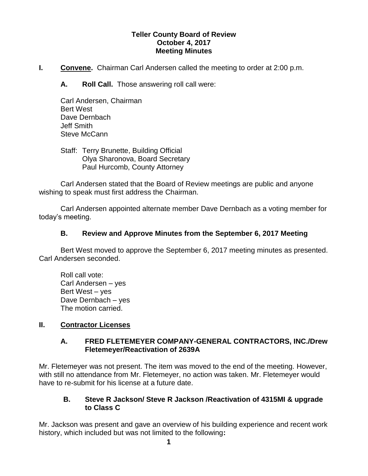### **Teller County Board of Review October 4, 2017 Meeting Minutes**

**I. Convene.** Chairman Carl Andersen called the meeting to order at 2:00 p.m.

**A. Roll Call.** Those answering roll call were:

Carl Andersen, Chairman Bert West Dave Dernbach Jeff Smith Steve McCann

Staff: Terry Brunette, Building Official Olya Sharonova, Board Secretary Paul Hurcomb, County Attorney

Carl Andersen stated that the Board of Review meetings are public and anyone wishing to speak must first address the Chairman.

Carl Andersen appointed alternate member Dave Dernbach as a voting member for today's meeting.

### **B. Review and Approve Minutes from the September 6, 2017 Meeting**

Bert West moved to approve the September 6, 2017 meeting minutes as presented. Carl Andersen seconded.

Roll call vote: Carl Andersen – yes Bert West – yes Dave Dernbach – yes The motion carried.

#### **II. Contractor Licenses**

### **A. FRED FLETEMEYER COMPANY-GENERAL CONTRACTORS, INC./Drew Fletemeyer/Reactivation of 2639A**

Mr. Fletemeyer was not present. The item was moved to the end of the meeting. However, with still no attendance from Mr. Fletemeyer, no action was taken. Mr. Fletemeyer would have to re-submit for his license at a future date.

### **B. Steve R Jackson/ Steve R Jackson /Reactivation of 4315MI & upgrade to Class C**

Mr. Jackson was present and gave an overview of his building experience and recent work history, which included but was not limited to the following**:**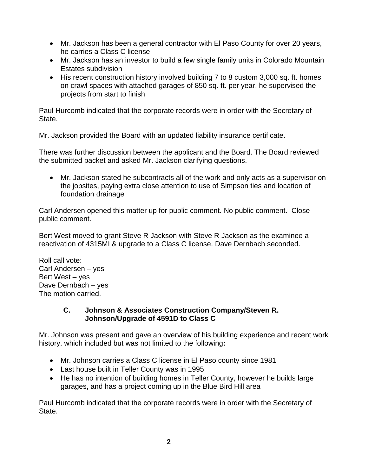- Mr. Jackson has been a general contractor with El Paso County for over 20 years, he carries a Class C license
- Mr. Jackson has an investor to build a few single family units in Colorado Mountain Estates subdivision
- His recent construction history involved building 7 to 8 custom 3,000 sq. ft. homes on crawl spaces with attached garages of 850 sq. ft. per year, he supervised the projects from start to finish

Paul Hurcomb indicated that the corporate records were in order with the Secretary of State.

Mr. Jackson provided the Board with an updated liability insurance certificate.

There was further discussion between the applicant and the Board. The Board reviewed the submitted packet and asked Mr. Jackson clarifying questions.

 Mr. Jackson stated he subcontracts all of the work and only acts as a supervisor on the jobsites, paying extra close attention to use of Simpson ties and location of foundation drainage

Carl Andersen opened this matter up for public comment. No public comment. Close public comment.

Bert West moved to grant Steve R Jackson with Steve R Jackson as the examinee a reactivation of 4315MI & upgrade to a Class C license. Dave Dernbach seconded.

Roll call vote: Carl Andersen – yes Bert West – yes Dave Dernbach – yes The motion carried.

### **C. Johnson & Associates Construction Company/Steven R. Johnson/Upgrade of 4591D to Class C**

Mr. Johnson was present and gave an overview of his building experience and recent work history, which included but was not limited to the following**:**

- Mr. Johnson carries a Class C license in El Paso county since 1981
- Last house built in Teller County was in 1995
- He has no intention of building homes in Teller County, however he builds large garages, and has a project coming up in the Blue Bird Hill area

Paul Hurcomb indicated that the corporate records were in order with the Secretary of State.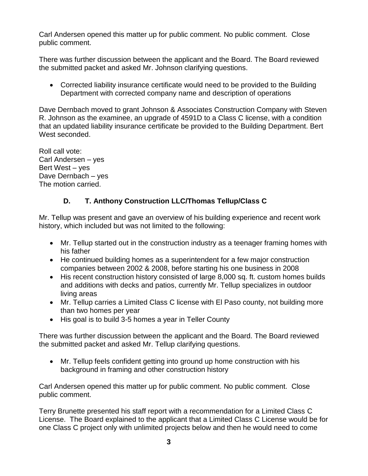Carl Andersen opened this matter up for public comment. No public comment. Close public comment.

There was further discussion between the applicant and the Board. The Board reviewed the submitted packet and asked Mr. Johnson clarifying questions.

 Corrected liability insurance certificate would need to be provided to the Building Department with corrected company name and description of operations

Dave Dernbach moved to grant Johnson & Associates Construction Company with Steven R. Johnson as the examinee, an upgrade of 4591D to a Class C license, with a condition that an updated liability insurance certificate be provided to the Building Department. Bert West seconded.

Roll call vote: Carl Andersen – yes Bert West – yes Dave Dernbach – yes The motion carried.

# **D. T. Anthony Construction LLC/Thomas Tellup/Class C**

Mr. Tellup was present and gave an overview of his building experience and recent work history, which included but was not limited to the following:

- Mr. Tellup started out in the construction industry as a teenager framing homes with his father
- He continued building homes as a superintendent for a few major construction companies between 2002 & 2008, before starting his one business in 2008
- His recent construction history consisted of large 8,000 sq. ft. custom homes builds and additions with decks and patios, currently Mr. Tellup specializes in outdoor living areas
- Mr. Tellup carries a Limited Class C license with El Paso county, not building more than two homes per year
- His goal is to build 3-5 homes a year in Teller County

There was further discussion between the applicant and the Board. The Board reviewed the submitted packet and asked Mr. Tellup clarifying questions.

 Mr. Tellup feels confident getting into ground up home construction with his background in framing and other construction history

Carl Andersen opened this matter up for public comment. No public comment. Close public comment.

Terry Brunette presented his staff report with a recommendation for a Limited Class C License. The Board explained to the applicant that a Limited Class C License would be for one Class C project only with unlimited projects below and then he would need to come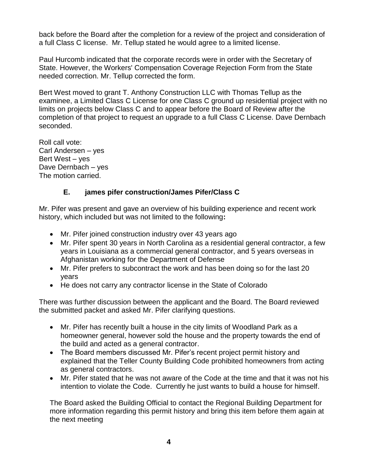back before the Board after the completion for a review of the project and consideration of a full Class C license. Mr. Tellup stated he would agree to a limited license.

Paul Hurcomb indicated that the corporate records were in order with the Secretary of State. However, the Workers' Compensation Coverage Rejection Form from the State needed correction. Mr. Tellup corrected the form.

Bert West moved to grant T. Anthony Construction LLC with Thomas Tellup as the examinee, a Limited Class C License for one Class C ground up residential project with no limits on projects below Class C and to appear before the Board of Review after the completion of that project to request an upgrade to a full Class C License. Dave Dernbach seconded.

Roll call vote: Carl Andersen – yes Bert West – yes Dave Dernbach – yes The motion carried.

# **E. james pifer construction/James Pifer/Class C**

Mr. Pifer was present and gave an overview of his building experience and recent work history, which included but was not limited to the following**:**

- Mr. Pifer joined construction industry over 43 years ago
- Mr. Pifer spent 30 years in North Carolina as a residential general contractor, a few years in Louisiana as a commercial general contractor, and 5 years overseas in Afghanistan working for the Department of Defense
- Mr. Pifer prefers to subcontract the work and has been doing so for the last 20 years
- He does not carry any contractor license in the State of Colorado

There was further discussion between the applicant and the Board. The Board reviewed the submitted packet and asked Mr. Pifer clarifying questions.

- Mr. Pifer has recently built a house in the city limits of Woodland Park as a homeowner general, however sold the house and the property towards the end of the build and acted as a general contractor.
- The Board members discussed Mr. Pifer's recent project permit history and explained that the Teller County Building Code prohibited homeowners from acting as general contractors.
- Mr. Pifer stated that he was not aware of the Code at the time and that it was not his intention to violate the Code. Currently he just wants to build a house for himself.

The Board asked the Building Official to contact the Regional Building Department for more information regarding this permit history and bring this item before them again at the next meeting